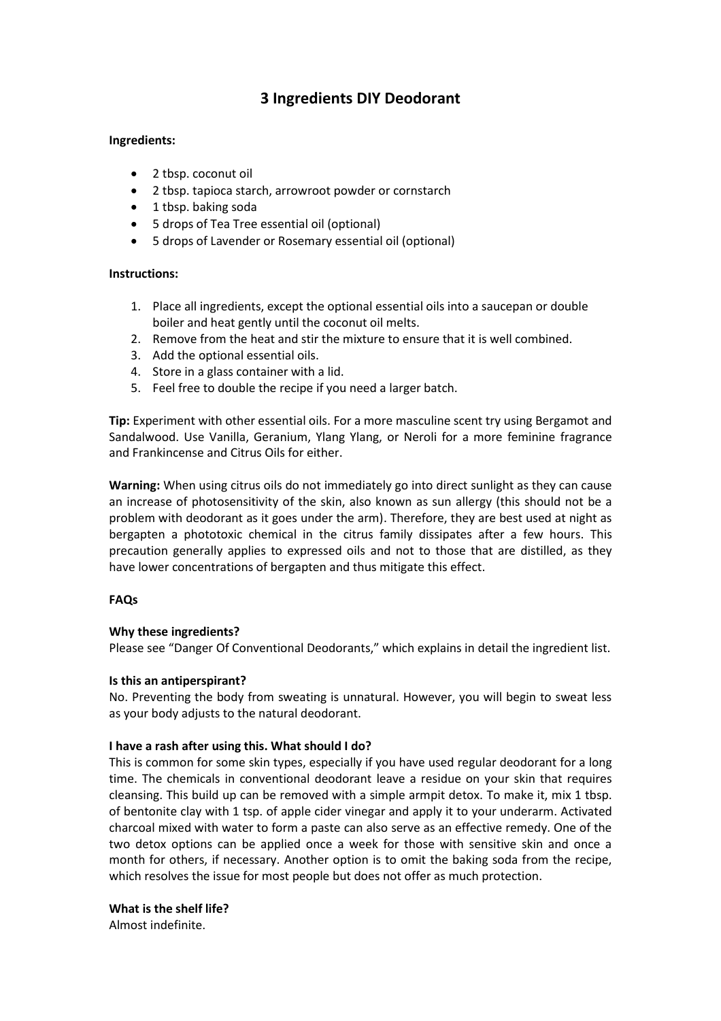# **3 Ingredients DIY Deodorant**

# **Ingredients:**

- 2 tbsp. coconut oil
- 2 tbsp. tapioca starch, arrowroot powder or cornstarch
- 1 tbsp. baking soda
- 5 drops of Tea Tree essential oil (optional)
- 5 drops of Lavender or Rosemary essential oil (optional)

# **Instructions:**

- 1. Place all ingredients, except the optional essential oils into a saucepan or double boiler and heat gently until the coconut oil melts.
- 2. Remove from the heat and stir the mixture to ensure that it is well combined.
- 3. Add the optional essential oils.
- 4. Store in a glass container with a lid.
- 5. Feel free to double the recipe if you need a larger batch.

**Tip:** Experiment with other essential oils. For a more masculine scent try using Bergamot and Sandalwood. Use Vanilla, Geranium, Ylang Ylang, or Neroli for a more feminine fragrance and Frankincense and Citrus Oils for either.

**Warning:** When using citrus oils do not immediately go into direct sunlight as they can cause an increase of photosensitivity of the skin, also known as sun allergy (this should not be a problem with deodorant as it goes under the arm). Therefore, they are best used at night as bergapten a phototoxic chemical in the citrus family dissipates after a few hours. This precaution generally applies to expressed oils and not to those that are distilled, as they have lower concentrations of bergapten and thus mitigate this effect.

### **FAQs**

# **Why these ingredients?**

Please see "Danger Of Conventional Deodorants," which explains in detail the ingredient list.

### **Is this an antiperspirant?**

No. Preventing the body from sweating is unnatural. However, you will begin to sweat less as your body adjusts to the natural deodorant.

### **I have a rash after using this. What should I do?**

This is common for some skin types, especially if you have used regular deodorant for a long time. The chemicals in conventional deodorant leave a residue on your skin that requires cleansing. This build up can be removed with a simple armpit detox. To make it, mix 1 tbsp. of bentonite clay with 1 tsp. of apple cider vinegar and apply it to your underarm. Activated charcoal mixed with water to form a paste can also serve as an effective remedy. One of the two detox options can be applied once a week for those with sensitive skin and once a month for others, if necessary. Another option is to omit the baking soda from the recipe, which resolves the issue for most people but does not offer as much protection.

### **What is the shelf life?**

Almost indefinite.